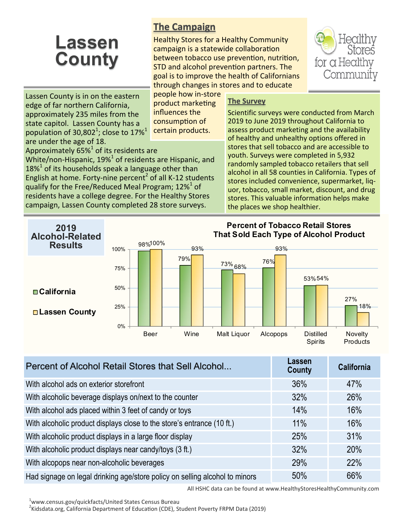## **Lassen County**

## **The Campaign**

Healthy Stores for a Healthy Community campaign is a statewide collaboration between tobacco use prevention, nutrition, STD and alcohol prevention partners. The goal is to improve the health of Californians through changes in stores and to educate



Lassen County is in on the eastern edge of far northern California, approximately 235 miles from the state capitol. Lassen County has a population of 30,802<sup>1</sup>; close to 17%<sup>1</sup> are under the age of 18.

people how in-store product marketing influences the consumption of certain products.

## **The Survey**

Scientific surveys were conducted from March 2019 to June 2019 throughout California to assess product marketing and the availability of healthy and unhealthy options offered in stores that sell tobacco and are accessible to youth. Surveys were completed in 5,932 randomly sampled tobacco retailers that sell alcohol in all 58 counties in California. Types of stores included convenience, supermarket, liquor, tobacco, small market, discount, and drug stores. This valuable information helps make the places we shop healthier.

Approximately  $65\%$ <sup>1</sup> of its residents are

White/non-Hispanic,  $19\%$ <sup>1</sup> of residents are Hispanic, and  $18\%$ <sup>1</sup> of its households speak a language other than English at home. Forty-nine percent<sup>2</sup> of all K-12 students qualify for the Free/Reduced Meal Program; 12% $^{1}$  of residents have a college degree. For the Healthy Stores campaign, Lassen County completed 28 store surveys.

98% 100% 79% 73% 76% 68% 53% 54% 27% 93% 93% 18% 0% 25% 50% 75% 100% Beer Wine Malt Liquor Alcopops Distilled **Spirits** Novelty **Products Percent of Tobacco Retail Stores That Sold Each Type of Alcohol Product California Lassen County 2019 Alcohol-Related Results**

| Percent of Alcohol Retail Stores that Sell Alcohol                          | Lassen<br>County | <b>California</b> |
|-----------------------------------------------------------------------------|------------------|-------------------|
| With alcohol ads on exterior storefront                                     | 36%              | 47%               |
| With alcoholic beverage displays on/next to the counter                     | 32%              | 26%               |
| With alcohol ads placed within 3 feet of candy or toys                      | 14%              | 16%               |
| With alcoholic product displays close to the store's entrance (10 ft.)      | 11%              | 16%               |
| With alcoholic product displays in a large floor display                    | 25%              | 31%               |
| With alcoholic product displays near candy/toys (3 ft.)                     | 32%              | 20%               |
| With alcopops near non-alcoholic beverages                                  | 29%              | 22%               |
| Had signage on legal drinking age/store policy on selling alcohol to minors | 50%              | 66%               |

All HSHC data can be found at www.HealthyStoresHealthyCommunity.com

<sup>2</sup>Kidsdata.org, California Department of Education (CDE), Student Poverty FRPM Data (2019)

<sup>&</sup>lt;sup>1</sup>www.census.gov/quickfacts/United States Census Bureau